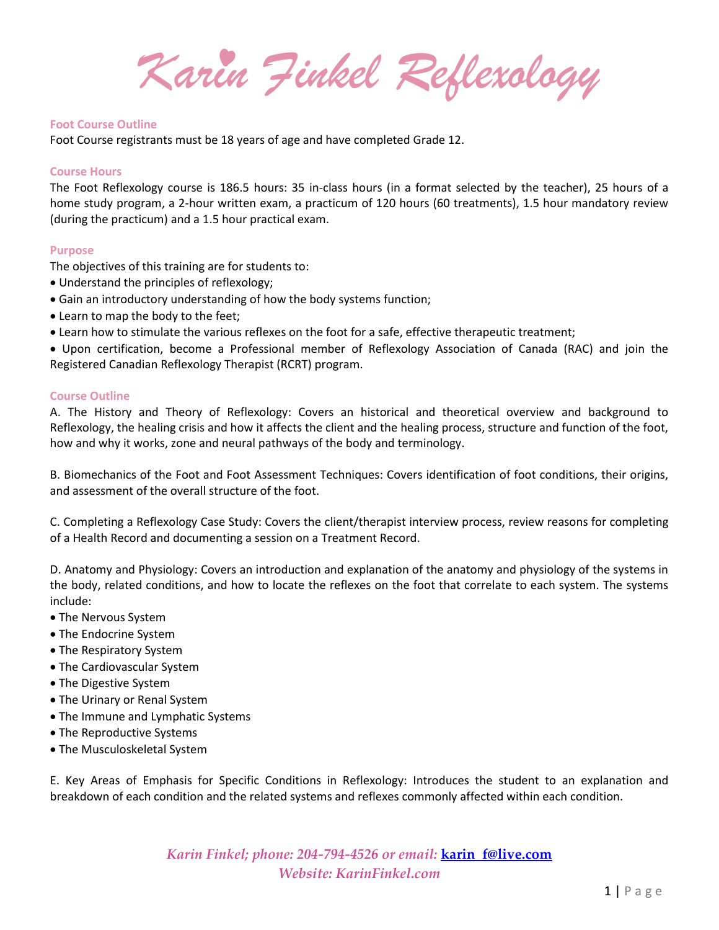*Karin Finkel Reflexology*

## **Foot Course Outline**

Foot Course registrants must be 18 years of age and have completed Grade 12.

# **Course Hours**

The Foot Reflexology course is 186.5 hours: 35 in-class hours (in a format selected by the teacher), 25 hours of a home study program, a 2-hour written exam, a practicum of 120 hours (60 treatments), 1.5 hour mandatory review (during the practicum) and a 1.5 hour practical exam.

# **Purpose**

The objectives of this training are for students to:

- Understand the principles of reflexology;
- Gain an introductory understanding of how the body systems function;
- Learn to map the body to the feet;
- Learn how to stimulate the various reflexes on the foot for a safe, effective therapeutic treatment;

 Upon certification, become a Professional member of Reflexology Association of Canada (RAC) and join the Registered Canadian Reflexology Therapist (RCRT) program.

# **Course Outline**

A. The History and Theory of Reflexology: Covers an historical and theoretical overview and background to Reflexology, the healing crisis and how it affects the client and the healing process, structure and function of the foot, how and why it works, zone and neural pathways of the body and terminology.

B. Biomechanics of the Foot and Foot Assessment Techniques: Covers identification of foot conditions, their origins, and assessment of the overall structure of the foot.

C. Completing a Reflexology Case Study: Covers the client/therapist interview process, review reasons for completing of a Health Record and documenting a session on a Treatment Record.

D. Anatomy and Physiology: Covers an introduction and explanation of the anatomy and physiology of the systems in the body, related conditions, and how to locate the reflexes on the foot that correlate to each system. The systems include:

- The Nervous System
- The Endocrine System
- The Respiratory System
- The Cardiovascular System
- The Digestive System
- The Urinary or Renal System
- The Immune and Lymphatic Systems
- The Reproductive Systems
- The Musculoskeletal System

E. Key Areas of Emphasis for Specific Conditions in Reflexology: Introduces the student to an explanation and breakdown of each condition and the related systems and reflexes commonly affected within each condition.

> *Karin Finkel; phone: 204-794-4526 or email:* **karin\_f@live.com** *Website: KarinFinkel.com*